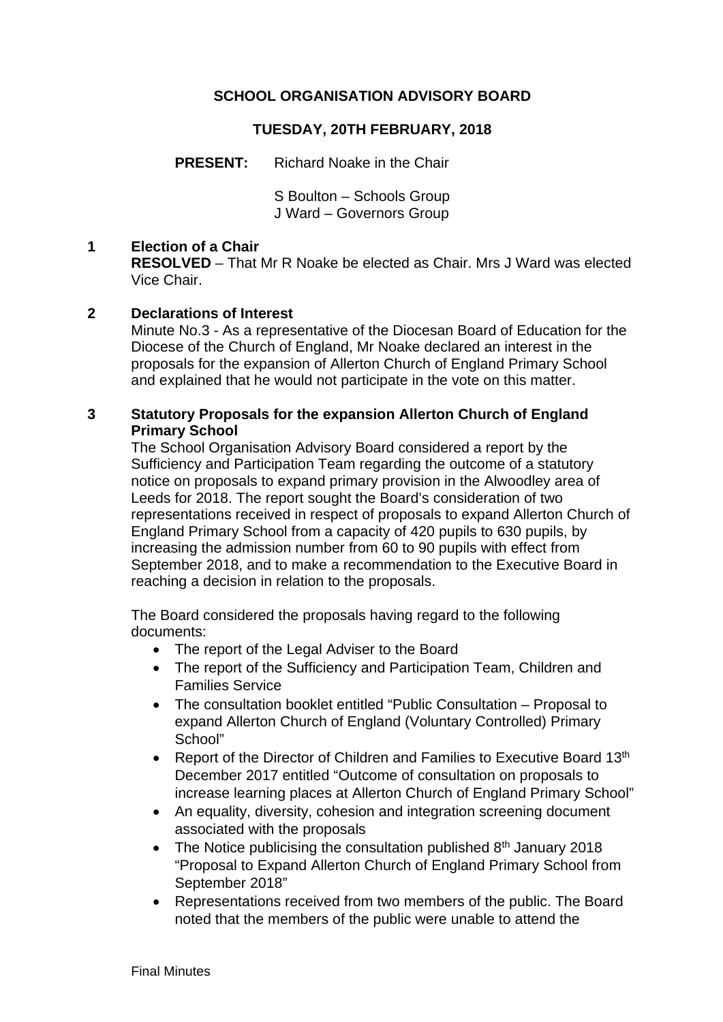# **SCHOOL ORGANISATION ADVISORY BOARD**

# **TUESDAY, 20TH FEBRUARY, 2018**

**PRESENT:** Richard Noake in the Chair

S Boulton – Schools Group J Ward – Governors Group

### **1 Election of a Chair**

**RESOLVED** – That Mr R Noake be elected as Chair. Mrs J Ward was elected Vice Chair.

### **2 Declarations of Interest**

Minute No.3 - As a representative of the Diocesan Board of Education for the Diocese of the Church of England, Mr Noake declared an interest in the proposals for the expansion of Allerton Church of England Primary School and explained that he would not participate in the vote on this matter.

### **3 Statutory Proposals for the expansion Allerton Church of England Primary School**

The School Organisation Advisory Board considered a report by the Sufficiency and Participation Team regarding the outcome of a statutory notice on proposals to expand primary provision in the Alwoodley area of Leeds for 2018. The report sought the Board's consideration of two representations received in respect of proposals to expand Allerton Church of England Primary School from a capacity of 420 pupils to 630 pupils, by increasing the admission number from 60 to 90 pupils with effect from September 2018, and to make a recommendation to the Executive Board in reaching a decision in relation to the proposals.

The Board considered the proposals having regard to the following documents:

- The report of the Legal Adviser to the Board
- The report of the Sufficiency and Participation Team, Children and Families Service
- The consultation booklet entitled "Public Consultation Proposal to expand Allerton Church of England (Voluntary Controlled) Primary School"
- Report of the Director of Children and Families to Executive Board 13<sup>th</sup> December 2017 entitled "Outcome of consultation on proposals to increase learning places at Allerton Church of England Primary School"
- An equality, diversity, cohesion and integration screening document associated with the proposals
- The Notice publicising the consultation published  $8<sup>th</sup>$  January 2018 "Proposal to Expand Allerton Church of England Primary School from September 2018"
- Representations received from two members of the public. The Board noted that the members of the public were unable to attend the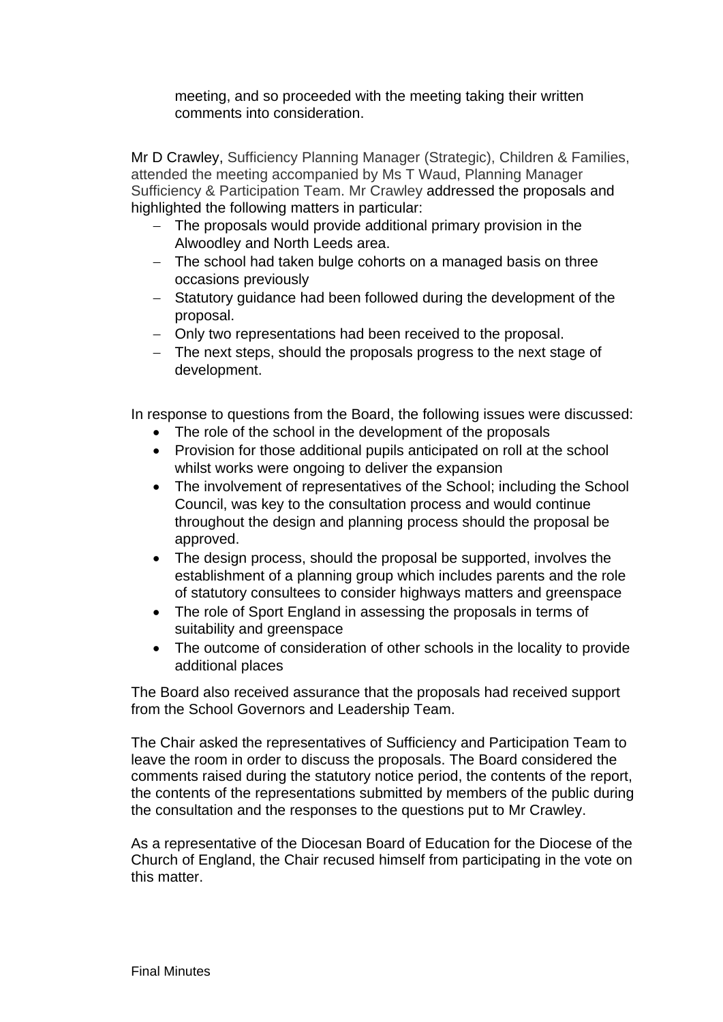meeting, and so proceeded with the meeting taking their written comments into consideration.

Mr D Crawley, Sufficiency Planning Manager (Strategic), Children & Families, attended the meeting accompanied by Ms T Waud, Planning Manager Sufficiency & Participation Team. Mr Crawley addressed the proposals and highlighted the following matters in particular:

- The proposals would provide additional primary provision in the Alwoodley and North Leeds area.
- The school had taken bulge cohorts on a managed basis on three occasions previously
- Statutory guidance had been followed during the development of the proposal.
- Only two representations had been received to the proposal.
- The next steps, should the proposals progress to the next stage of development.

In response to questions from the Board, the following issues were discussed:

- The role of the school in the development of the proposals
- Provision for those additional pupils anticipated on roll at the school whilst works were ongoing to deliver the expansion
- The involvement of representatives of the School; including the School Council, was key to the consultation process and would continue throughout the design and planning process should the proposal be approved.
- The design process, should the proposal be supported, involves the establishment of a planning group which includes parents and the role of statutory consultees to consider highways matters and greenspace
- The role of Sport England in assessing the proposals in terms of suitability and greenspace
- The outcome of consideration of other schools in the locality to provide additional places

The Board also received assurance that the proposals had received support from the School Governors and Leadership Team.

The Chair asked the representatives of Sufficiency and Participation Team to leave the room in order to discuss the proposals. The Board considered the comments raised during the statutory notice period, the contents of the report, the contents of the representations submitted by members of the public during the consultation and the responses to the questions put to Mr Crawley.

As a representative of the Diocesan Board of Education for the Diocese of the Church of England, the Chair recused himself from participating in the vote on this matter.